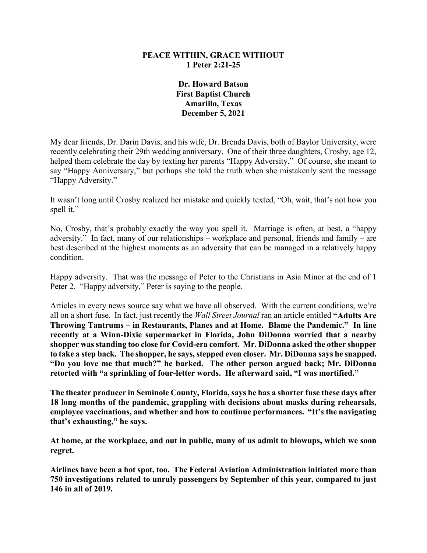## **PEACE WITHIN, GRACE WITHOUT 1 Peter 2:21-25**

**Dr. Howard Batson First Baptist Church Amarillo, Texas December 5, 2021**

My dear friends, Dr. Darin Davis, and his wife, Dr. Brenda Davis, both of Baylor University, were recently celebrating their 29th wedding anniversary. One of their three daughters, Crosby, age 12, helped them celebrate the day by texting her parents "Happy Adversity." Of course, she meant to say "Happy Anniversary," but perhaps she told the truth when she mistakenly sent the message "Happy Adversity."

It wasn't long until Crosby realized her mistake and quickly texted, "Oh, wait, that's not how you spell it."

No, Crosby, that's probably exactly the way you spell it. Marriage is often, at best, a "happy adversity." In fact, many of our relationships – workplace and personal, friends and family – are best described at the highest moments as an adversity that can be managed in a relatively happy condition.

Happy adversity. That was the message of Peter to the Christians in Asia Minor at the end of 1 Peter 2. "Happy adversity," Peter is saying to the people.

Articles in every news source say what we have all observed. With the current conditions, we're all on a short fuse. In fact, just recently the *Wall Street Journal* ran an article entitled **"Adults Are Throwing Tantrums – in Restaurants, Planes and at Home. Blame the Pandemic." In line recently at a Winn-Dixie supermarket in Florida, John DiDonna worried that a nearby shopper was standing too close for Covid-era comfort. Mr. DiDonna asked the other shopper to take a step back. The shopper, he says, stepped even closer. Mr. DiDonna says he snapped. "Do you love me that much?" he barked. The other person argued back; Mr. DiDonna retorted with "a sprinkling of four-letter words. He afterward said, "I was mortified."**

**The theater producer in Seminole County, Florida, says he has a shorter fuse these days after 18 long months of the pandemic, grappling with decisions about masks during rehearsals, employee vaccinations, and whether and how to continue performances. "It's the navigating that's exhausting," he says.** 

**At home, at the workplace, and out in public, many of us admit to blowups, which we soon regret.**

**Airlines have been a hot spot, too. The Federal Aviation Administration initiated more than 750 investigations related to unruly passengers by September of this year, compared to just 146 in all of 2019.**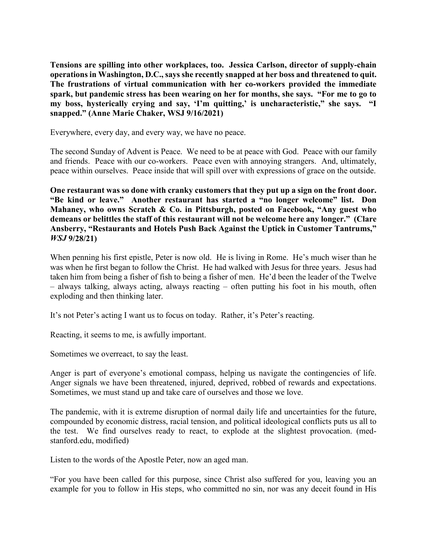**Tensions are spilling into other workplaces, too. Jessica Carlson, director of supply-chain operations in Washington, D.C., says she recently snapped at her boss and threatened to quit. The frustrations of virtual communication with her co-workers provided the immediate spark, but pandemic stress has been wearing on her for months, she says. "For me to go to my boss, hysterically crying and say, 'I'm quitting,' is uncharacteristic," she says. "I snapped." (Anne Marie Chaker, WSJ 9/16/2021)**

Everywhere, every day, and every way, we have no peace.

The second Sunday of Advent is Peace. We need to be at peace with God. Peace with our family and friends. Peace with our co-workers. Peace even with annoying strangers. And, ultimately, peace within ourselves. Peace inside that will spill over with expressions of grace on the outside.

**One restaurant was so done with cranky customers that they put up a sign on the front door. "Be kind or leave." Another restaurant has started a "no longer welcome" list. Don Mahaney, who owns Scratch & Co. in Pittsburgh, posted on Facebook, "Any guest who demeans or belittles the staff of this restaurant will not be welcome here any longer." (Clare Ansberry, "Restaurants and Hotels Push Back Against the Uptick in Customer Tantrums,"**  *WSJ* **9/28/21)**

When penning his first epistle, Peter is now old. He is living in Rome. He's much wiser than he was when he first began to follow the Christ. He had walked with Jesus for three years. Jesus had taken him from being a fisher of fish to being a fisher of men. He'd been the leader of the Twelve – always talking, always acting, always reacting – often putting his foot in his mouth, often exploding and then thinking later.

It's not Peter's acting I want us to focus on today. Rather, it's Peter's reacting.

Reacting, it seems to me, is awfully important.

Sometimes we overreact, to say the least.

Anger is part of everyone's emotional compass, helping us navigate the contingencies of life. Anger signals we have been threatened, injured, deprived, robbed of rewards and expectations. Sometimes, we must stand up and take care of ourselves and those we love.

The pandemic, with it is extreme disruption of normal daily life and uncertainties for the future, compounded by economic distress, racial tension, and political ideological conflicts puts us all to the test. We find ourselves ready to react, to explode at the slightest provocation. (medstanford.edu, modified)

Listen to the words of the Apostle Peter, now an aged man.

"For you have been called for this purpose, since Christ also suffered for you, leaving you an example for you to follow in His steps, who committed no sin, nor was any deceit found in His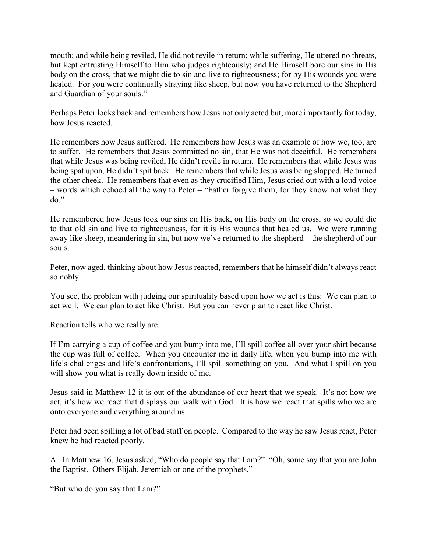mouth; and while being reviled, He did not revile in return; while suffering, He uttered no threats, but kept entrusting Himself to Him who judges righteously; and He Himself bore our sins in His body on the cross, that we might die to sin and live to righteousness; for by His wounds you were healed. For you were continually straying like sheep, but now you have returned to the Shepherd and Guardian of your souls."

Perhaps Peter looks back and remembers how Jesus not only acted but, more importantly for today, how Jesus reacted.

He remembers how Jesus suffered. He remembers how Jesus was an example of how we, too, are to suffer. He remembers that Jesus committed no sin, that He was not deceitful. He remembers that while Jesus was being reviled, He didn't revile in return. He remembers that while Jesus was being spat upon, He didn't spit back. He remembers that while Jesus was being slapped, He turned the other cheek. He remembers that even as they crucified Him, Jesus cried out with a loud voice – words which echoed all the way to Peter – "Father forgive them, for they know not what they do."

He remembered how Jesus took our sins on His back, on His body on the cross, so we could die to that old sin and live to righteousness, for it is His wounds that healed us. We were running away like sheep, meandering in sin, but now we've returned to the shepherd – the shepherd of our souls.

Peter, now aged, thinking about how Jesus reacted, remembers that he himself didn't always react so nobly.

You see, the problem with judging our spirituality based upon how we act is this: We can plan to act well. We can plan to act like Christ. But you can never plan to react like Christ.

Reaction tells who we really are.

If I'm carrying a cup of coffee and you bump into me, I'll spill coffee all over your shirt because the cup was full of coffee. When you encounter me in daily life, when you bump into me with life's challenges and life's confrontations, I'll spill something on you. And what I spill on you will show you what is really down inside of me.

Jesus said in Matthew 12 it is out of the abundance of our heart that we speak. It's not how we act, it's how we react that displays our walk with God. It is how we react that spills who we are onto everyone and everything around us.

Peter had been spilling a lot of bad stuff on people. Compared to the way he saw Jesus react, Peter knew he had reacted poorly.

A. In Matthew 16, Jesus asked, "Who do people say that I am?" "Oh, some say that you are John the Baptist. Others Elijah, Jeremiah or one of the prophets."

"But who do you say that I am?"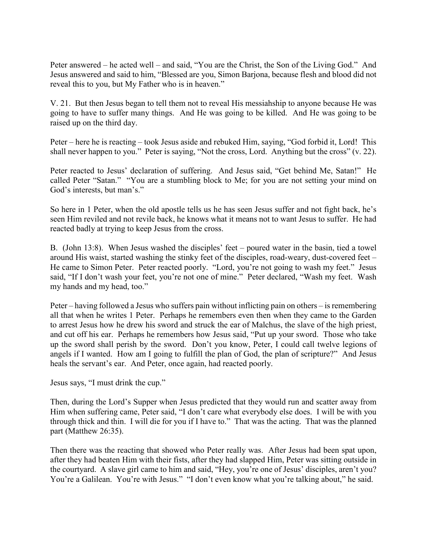Peter answered – he acted well – and said, "You are the Christ, the Son of the Living God." And Jesus answered and said to him, "Blessed are you, Simon Barjona, because flesh and blood did not reveal this to you, but My Father who is in heaven."

V. 21. But then Jesus began to tell them not to reveal His messiahship to anyone because He was going to have to suffer many things. And He was going to be killed. And He was going to be raised up on the third day.

Peter – here he is reacting – took Jesus aside and rebuked Him, saying, "God forbid it, Lord! This shall never happen to you." Peter is saying, "Not the cross, Lord. Anything but the cross" (v. 22).

Peter reacted to Jesus' declaration of suffering. And Jesus said, "Get behind Me, Satan!" He called Peter "Satan." "You are a stumbling block to Me; for you are not setting your mind on God's interests, but man's."

So here in 1 Peter, when the old apostle tells us he has seen Jesus suffer and not fight back, he's seen Him reviled and not revile back, he knows what it means not to want Jesus to suffer. He had reacted badly at trying to keep Jesus from the cross.

B. (John 13:8). When Jesus washed the disciples' feet – poured water in the basin, tied a towel around His waist, started washing the stinky feet of the disciples, road-weary, dust-covered feet – He came to Simon Peter. Peter reacted poorly. "Lord, you're not going to wash my feet." Jesus said, "If I don't wash your feet, you're not one of mine." Peter declared, "Wash my feet. Wash my hands and my head, too."

Peter – having followed a Jesus who suffers pain without inflicting pain on others – is remembering all that when he writes 1 Peter. Perhaps he remembers even then when they came to the Garden to arrest Jesus how he drew his sword and struck the ear of Malchus, the slave of the high priest, and cut off his ear. Perhaps he remembers how Jesus said, "Put up your sword. Those who take up the sword shall perish by the sword. Don't you know, Peter, I could call twelve legions of angels if I wanted. How am I going to fulfill the plan of God, the plan of scripture?" And Jesus heals the servant's ear. And Peter, once again, had reacted poorly.

Jesus says, "I must drink the cup."

Then, during the Lord's Supper when Jesus predicted that they would run and scatter away from Him when suffering came, Peter said, "I don't care what everybody else does. I will be with you through thick and thin. I will die for you if I have to." That was the acting. That was the planned part (Matthew 26:35).

Then there was the reacting that showed who Peter really was. After Jesus had been spat upon, after they had beaten Him with their fists, after they had slapped Him, Peter was sitting outside in the courtyard. A slave girl came to him and said, "Hey, you're one of Jesus' disciples, aren't you? You're a Galilean. You're with Jesus." "I don't even know what you're talking about," he said.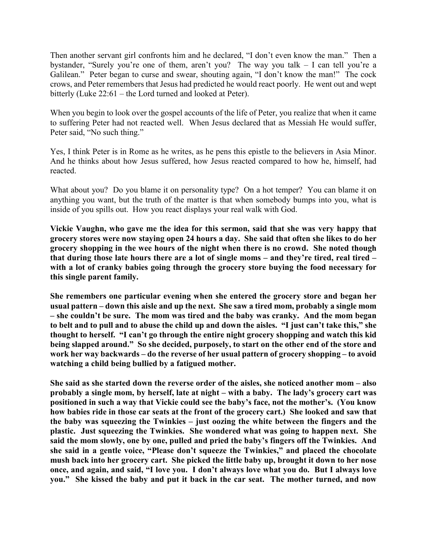Then another servant girl confronts him and he declared, "I don't even know the man." Then a bystander, "Surely you're one of them, aren't you? The way you talk – I can tell you're a Galilean." Peter began to curse and swear, shouting again, "I don't know the man!" The cock crows, and Peter remembers that Jesus had predicted he would react poorly. He went out and wept bitterly (Luke 22:61 – the Lord turned and looked at Peter).

When you begin to look over the gospel accounts of the life of Peter, you realize that when it came to suffering Peter had not reacted well. When Jesus declared that as Messiah He would suffer, Peter said, "No such thing."

Yes, I think Peter is in Rome as he writes, as he pens this epistle to the believers in Asia Minor. And he thinks about how Jesus suffered, how Jesus reacted compared to how he, himself, had reacted.

What about you? Do you blame it on personality type? On a hot temper? You can blame it on anything you want, but the truth of the matter is that when somebody bumps into you, what is inside of you spills out. How you react displays your real walk with God.

**Vickie Vaughn, who gave me the idea for this sermon, said that she was very happy that grocery stores were now staying open 24 hours a day. She said that often she likes to do her grocery shopping in the wee hours of the night when there is no crowd. She noted though that during those late hours there are a lot of single moms – and they're tired, real tired – with a lot of cranky babies going through the grocery store buying the food necessary for this single parent family.**

**She remembers one particular evening when she entered the grocery store and began her usual pattern – down this aisle and up the next. She saw a tired mom, probably a single mom – she couldn't be sure. The mom was tired and the baby was cranky. And the mom began to belt and to pull and to abuse the child up and down the aisles. "I just can't take this," she thought to herself. "I can't go through the entire night grocery shopping and watch this kid being slapped around." So she decided, purposely, to start on the other end of the store and work her way backwards – do the reverse of her usual pattern of grocery shopping – to avoid watching a child being bullied by a fatigued mother.**

**She said as she started down the reverse order of the aisles, she noticed another mom – also probably a single mom, by herself, late at night – with a baby. The lady's grocery cart was positioned in such a way that Vickie could see the baby's face, not the mother's. (You know how babies ride in those car seats at the front of the grocery cart.) She looked and saw that the baby was squeezing the Twinkies – just oozing the white between the fingers and the plastic. Just squeezing the Twinkies. She wondered what was going to happen next. She said the mom slowly, one by one, pulled and pried the baby's fingers off the Twinkies. And she said in a gentle voice, "Please don't squeeze the Twinkies," and placed the chocolate mush back into her grocery cart. She picked the little baby up, brought it down to her nose once, and again, and said, "I love you. I don't always love what you do. But I always love you." She kissed the baby and put it back in the car seat. The mother turned, and now**